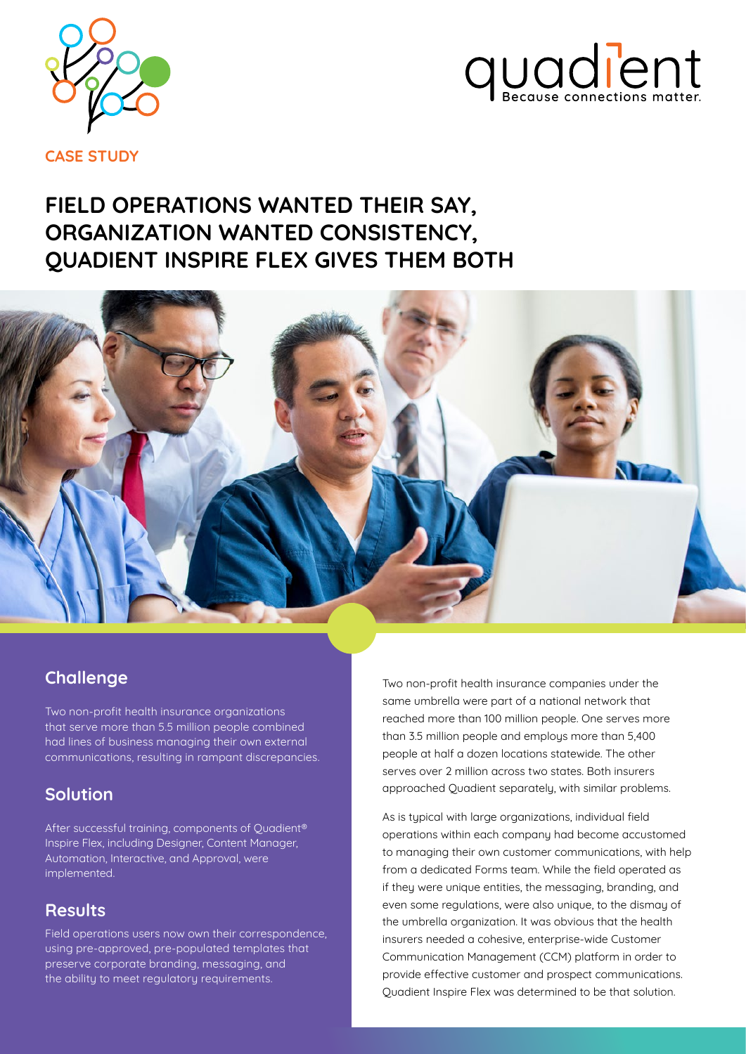



**CASE STUDY**

# **FIELD OPERATIONS WANTED THEIR SAY, ORGANIZATION WANTED CONSISTENCY, QUADIENT INSPIRE FLEX GIVES THEM BOTH**



#### **Challenge**

Two non-profit health insurance organizations that serve more than 5.5 million people combined had lines of business managing their own external communications, resulting in rampant discrepancies.

#### **Solution**

After successful training, components of Quadient® Inspire Flex, including Designer, Content Manager, Automation, Interactive, and Approval, were implemented.

#### **Results**

Field operations users now own their correspondence, using pre-approved, pre-populated templates that preserve corporate branding, messaging, and the ability to meet regulatory requirements.

Two non-profit health insurance companies under the same umbrella were part of a national network that reached more than 100 million people. One serves more than 3.5 million people and employs more than 5,400 people at half a dozen locations statewide. The other serves over 2 million across two states. Both insurers approached Quadient separately, with similar problems.

As is typical with large organizations, individual field operations within each company had become accustomed to managing their own customer communications, with help from a dedicated Forms team. While the field operated as if they were unique entities, the messaging, branding, and even some regulations, were also unique, to the dismay of the umbrella organization. It was obvious that the health insurers needed a cohesive, enterprise-wide Customer Communication Management (CCM) platform in order to provide effective customer and prospect communications. Quadient Inspire Flex was determined to be that solution.